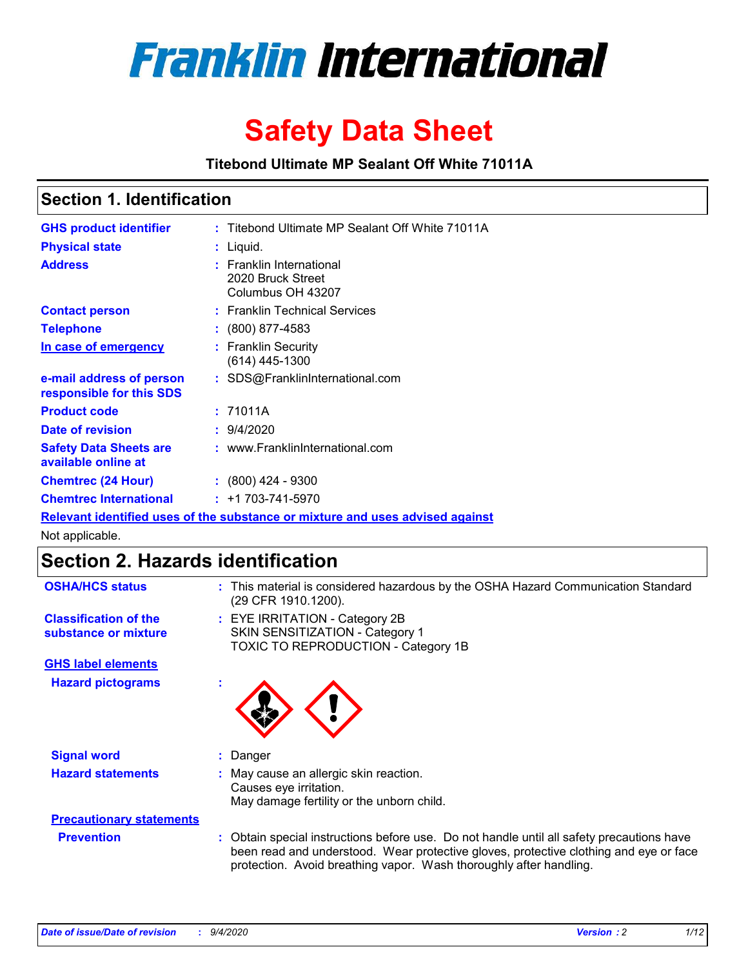

# **Safety Data Sheet**

**Titebond Ultimate MP Sealant Off White 71011A**

### **Section 1. Identification**

| <b>GHS product identifier</b>                        | : Titebond Ultimate MP Sealant Off White 71011A                               |
|------------------------------------------------------|-------------------------------------------------------------------------------|
| <b>Physical state</b>                                | : Liquid.                                                                     |
| <b>Address</b>                                       | : Franklin International<br>2020 Bruck Street<br>Columbus OH 43207            |
| <b>Contact person</b>                                | : Franklin Technical Services                                                 |
| <b>Telephone</b>                                     | $\colon$ (800) 877-4583                                                       |
| In case of emergency                                 | : Franklin Security<br>$(614)$ 445-1300                                       |
| e-mail address of person<br>responsible for this SDS | : SDS@FranklinInternational.com                                               |
| <b>Product code</b>                                  | : 71011A                                                                      |
| Date of revision                                     | : 9/4/2020                                                                    |
| <b>Safety Data Sheets are</b><br>available online at | : www.FranklinInternational.com                                               |
| <b>Chemtrec (24 Hour)</b>                            | $\div$ (800) 424 - 9300                                                       |
| <b>Chemtrec International</b>                        | $: +1703 - 741 - 5970$                                                        |
|                                                      | Relevant identified uses of the substance or mixture and uses advised against |

Not applicable.

# **Section 2. Hazards identification**

| <b>OSHA/HCS status</b>                               |    | : This material is considered hazardous by the OSHA Hazard Communication Standard<br>(29 CFR 1910.1200).                                                                                                                                                 |
|------------------------------------------------------|----|----------------------------------------------------------------------------------------------------------------------------------------------------------------------------------------------------------------------------------------------------------|
| <b>Classification of the</b><br>substance or mixture |    | : EYE IRRITATION - Category 2B<br>SKIN SENSITIZATION - Category 1<br>TOXIC TO REPRODUCTION - Category 1B                                                                                                                                                 |
| <b>GHS label elements</b>                            |    |                                                                                                                                                                                                                                                          |
| <b>Hazard pictograms</b>                             | ٠  |                                                                                                                                                                                                                                                          |
| <b>Signal word</b>                                   | ÷. | Danger                                                                                                                                                                                                                                                   |
| <b>Hazard statements</b>                             |    | May cause an allergic skin reaction.<br>Causes eye irritation.<br>May damage fertility or the unborn child.                                                                                                                                              |
| <b>Precautionary statements</b>                      |    |                                                                                                                                                                                                                                                          |
| <b>Prevention</b>                                    |    | : Obtain special instructions before use. Do not handle until all safety precautions have<br>been read and understood. Wear protective gloves, protective clothing and eye or face<br>protection. Avoid breathing vapor. Wash thoroughly after handling. |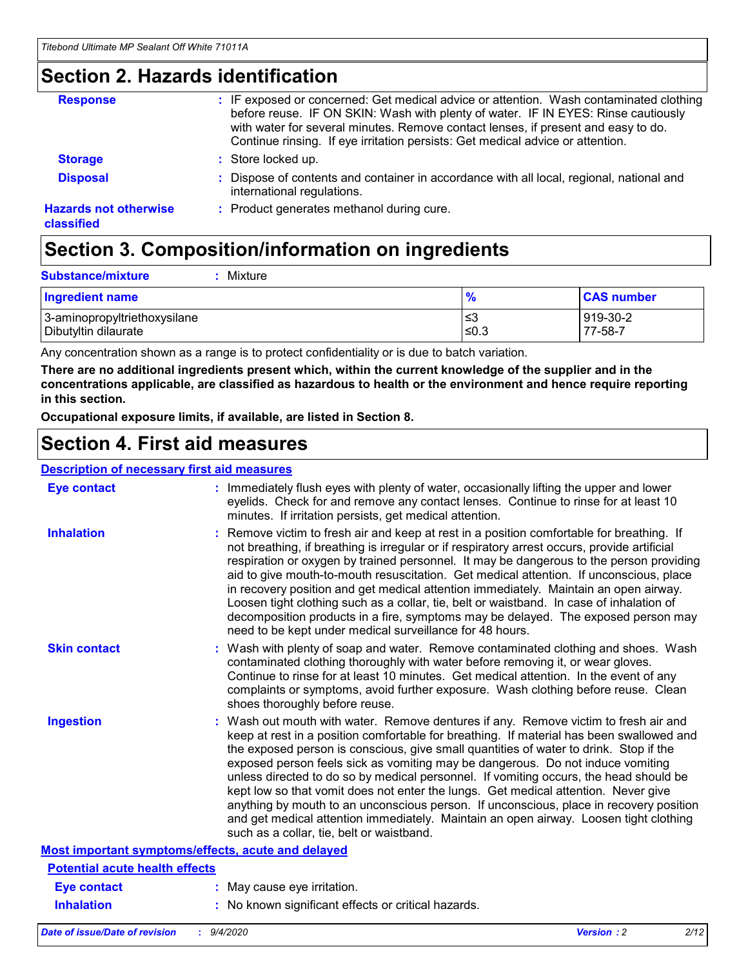### **Section 2. Hazards identification**

| <b>Response</b>                            | : IF exposed or concerned: Get medical advice or attention. Wash contaminated clothing<br>before reuse. IF ON SKIN: Wash with plenty of water. IF IN EYES: Rinse cautiously<br>with water for several minutes. Remove contact lenses, if present and easy to do.<br>Continue rinsing. If eye irritation persists: Get medical advice or attention. |
|--------------------------------------------|----------------------------------------------------------------------------------------------------------------------------------------------------------------------------------------------------------------------------------------------------------------------------------------------------------------------------------------------------|
| <b>Storage</b>                             | : Store locked up.                                                                                                                                                                                                                                                                                                                                 |
| <b>Disposal</b>                            | : Dispose of contents and container in accordance with all local, regional, national and<br>international regulations.                                                                                                                                                                                                                             |
| <b>Hazards not otherwise</b><br>classified | : Product generates methanol during cure.                                                                                                                                                                                                                                                                                                          |

# **Section 3. Composition/information on ingredients**

| <b>Ingredient name</b>       | $\frac{9}{6}$ | <b>CAS number</b> |
|------------------------------|---------------|-------------------|
| 3-aminopropyltriethoxysilane | ≤3            | 919-30-2          |
| Dibutyltin dilaurate         | ∣≤0.3         | 77-58-7           |

Any concentration shown as a range is to protect confidentiality or is due to batch variation.

**There are no additional ingredients present which, within the current knowledge of the supplier and in the concentrations applicable, are classified as hazardous to health or the environment and hence require reporting in this section.**

**Occupational exposure limits, if available, are listed in Section 8.**

### **Section 4. First aid measures**

| <b>Description of necessary first aid measures</b> |                                                                                                                                                                                                                                                                                                                                                                                                                                                                                                                                                                                                                                                                                                                                                                           |
|----------------------------------------------------|---------------------------------------------------------------------------------------------------------------------------------------------------------------------------------------------------------------------------------------------------------------------------------------------------------------------------------------------------------------------------------------------------------------------------------------------------------------------------------------------------------------------------------------------------------------------------------------------------------------------------------------------------------------------------------------------------------------------------------------------------------------------------|
| <b>Eye contact</b>                                 | : Immediately flush eyes with plenty of water, occasionally lifting the upper and lower<br>eyelids. Check for and remove any contact lenses. Continue to rinse for at least 10<br>minutes. If irritation persists, get medical attention.                                                                                                                                                                                                                                                                                                                                                                                                                                                                                                                                 |
| <b>Inhalation</b>                                  | : Remove victim to fresh air and keep at rest in a position comfortable for breathing. If<br>not breathing, if breathing is irregular or if respiratory arrest occurs, provide artificial<br>respiration or oxygen by trained personnel. It may be dangerous to the person providing<br>aid to give mouth-to-mouth resuscitation. Get medical attention. If unconscious, place<br>in recovery position and get medical attention immediately. Maintain an open airway.<br>Loosen tight clothing such as a collar, tie, belt or waistband. In case of inhalation of<br>decomposition products in a fire, symptoms may be delayed. The exposed person may<br>need to be kept under medical surveillance for 48 hours.                                                       |
| <b>Skin contact</b>                                | : Wash with plenty of soap and water. Remove contaminated clothing and shoes. Wash<br>contaminated clothing thoroughly with water before removing it, or wear gloves.<br>Continue to rinse for at least 10 minutes. Get medical attention. In the event of any<br>complaints or symptoms, avoid further exposure. Wash clothing before reuse. Clean<br>shoes thoroughly before reuse.                                                                                                                                                                                                                                                                                                                                                                                     |
| <b>Ingestion</b>                                   | : Wash out mouth with water. Remove dentures if any. Remove victim to fresh air and<br>keep at rest in a position comfortable for breathing. If material has been swallowed and<br>the exposed person is conscious, give small quantities of water to drink. Stop if the<br>exposed person feels sick as vomiting may be dangerous. Do not induce vomiting<br>unless directed to do so by medical personnel. If vomiting occurs, the head should be<br>kept low so that vomit does not enter the lungs. Get medical attention. Never give<br>anything by mouth to an unconscious person. If unconscious, place in recovery position<br>and get medical attention immediately. Maintain an open airway. Loosen tight clothing<br>such as a collar, tie, belt or waistband. |
| Most important symptoms/effects, acute and delayed |                                                                                                                                                                                                                                                                                                                                                                                                                                                                                                                                                                                                                                                                                                                                                                           |
| <b>Potential acute health effects</b>              |                                                                                                                                                                                                                                                                                                                                                                                                                                                                                                                                                                                                                                                                                                                                                                           |
| <b>Eye contact</b>                                 | : May cause eye irritation.                                                                                                                                                                                                                                                                                                                                                                                                                                                                                                                                                                                                                                                                                                                                               |
| <b>Inhalation</b>                                  | : No known significant effects or critical hazards.                                                                                                                                                                                                                                                                                                                                                                                                                                                                                                                                                                                                                                                                                                                       |
|                                                    |                                                                                                                                                                                                                                                                                                                                                                                                                                                                                                                                                                                                                                                                                                                                                                           |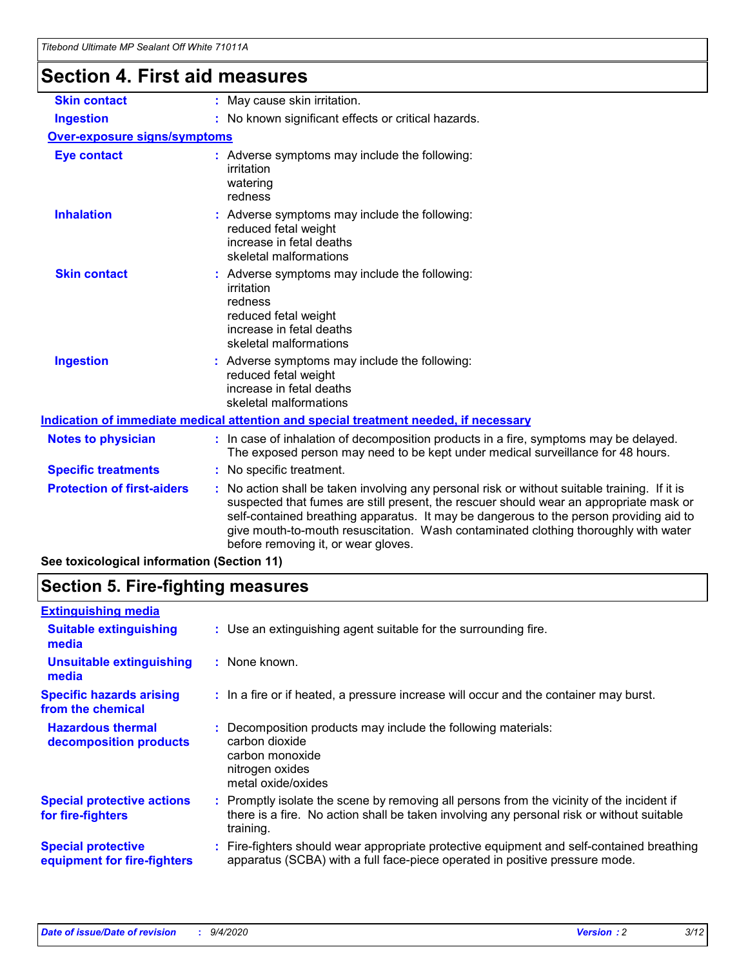# **Section 4. First aid measures**

| <b>Skin contact</b>                        | : May cause skin irritation.                                                                                                                                                                                                                                                                                                                                                                                  |
|--------------------------------------------|---------------------------------------------------------------------------------------------------------------------------------------------------------------------------------------------------------------------------------------------------------------------------------------------------------------------------------------------------------------------------------------------------------------|
| <b>Ingestion</b>                           | : No known significant effects or critical hazards.                                                                                                                                                                                                                                                                                                                                                           |
| <b>Over-exposure signs/symptoms</b>        |                                                                                                                                                                                                                                                                                                                                                                                                               |
| <b>Eye contact</b>                         | : Adverse symptoms may include the following:<br>irritation<br>watering<br>redness                                                                                                                                                                                                                                                                                                                            |
| <b>Inhalation</b>                          | Adverse symptoms may include the following:<br>reduced fetal weight<br>increase in fetal deaths<br>skeletal malformations                                                                                                                                                                                                                                                                                     |
| <b>Skin contact</b>                        | Adverse symptoms may include the following:<br>irritation<br>redness<br>reduced fetal weight<br>increase in fetal deaths<br>skeletal malformations                                                                                                                                                                                                                                                            |
| <b>Ingestion</b>                           | : Adverse symptoms may include the following:<br>reduced fetal weight<br>increase in fetal deaths<br>skeletal malformations                                                                                                                                                                                                                                                                                   |
|                                            | Indication of immediate medical attention and special treatment needed, if necessary                                                                                                                                                                                                                                                                                                                          |
| <b>Notes to physician</b>                  | : In case of inhalation of decomposition products in a fire, symptoms may be delayed.<br>The exposed person may need to be kept under medical surveillance for 48 hours.                                                                                                                                                                                                                                      |
| <b>Specific treatments</b>                 | : No specific treatment.                                                                                                                                                                                                                                                                                                                                                                                      |
| <b>Protection of first-aiders</b>          | No action shall be taken involving any personal risk or without suitable training. If it is<br>suspected that fumes are still present, the rescuer should wear an appropriate mask or<br>self-contained breathing apparatus. It may be dangerous to the person providing aid to<br>give mouth-to-mouth resuscitation. Wash contaminated clothing thoroughly with water<br>before removing it, or wear gloves. |
| See toxicological information (Section 11) |                                                                                                                                                                                                                                                                                                                                                                                                               |

# **Section 5. Fire-fighting measures**

| <b>Extinguishing media</b><br>: Use an extinguishing agent suitable for the surrounding fire.<br><b>Suitable extinguishing</b><br>media<br><b>Unsuitable extinguishing</b><br>: None known.<br>media<br><b>Specific hazards arising</b><br>: In a fire or if heated, a pressure increase will occur and the container may burst.<br>from the chemical<br><b>Hazardous thermal</b><br>Decomposition products may include the following materials:<br>carbon dioxide<br>decomposition products<br>carbon monoxide<br>nitrogen oxides<br>metal oxide/oxides<br><b>Special protective actions</b><br>: Promptly isolate the scene by removing all persons from the vicinity of the incident if<br>there is a fire. No action shall be taken involving any personal risk or without suitable<br>for fire-fighters<br>training.<br><b>Special protective</b><br>apparatus (SCBA) with a full face-piece operated in positive pressure mode.<br>equipment for fire-fighters |                                                                                           |
|----------------------------------------------------------------------------------------------------------------------------------------------------------------------------------------------------------------------------------------------------------------------------------------------------------------------------------------------------------------------------------------------------------------------------------------------------------------------------------------------------------------------------------------------------------------------------------------------------------------------------------------------------------------------------------------------------------------------------------------------------------------------------------------------------------------------------------------------------------------------------------------------------------------------------------------------------------------------|-------------------------------------------------------------------------------------------|
|                                                                                                                                                                                                                                                                                                                                                                                                                                                                                                                                                                                                                                                                                                                                                                                                                                                                                                                                                                      |                                                                                           |
|                                                                                                                                                                                                                                                                                                                                                                                                                                                                                                                                                                                                                                                                                                                                                                                                                                                                                                                                                                      |                                                                                           |
|                                                                                                                                                                                                                                                                                                                                                                                                                                                                                                                                                                                                                                                                                                                                                                                                                                                                                                                                                                      |                                                                                           |
|                                                                                                                                                                                                                                                                                                                                                                                                                                                                                                                                                                                                                                                                                                                                                                                                                                                                                                                                                                      |                                                                                           |
|                                                                                                                                                                                                                                                                                                                                                                                                                                                                                                                                                                                                                                                                                                                                                                                                                                                                                                                                                                      |                                                                                           |
|                                                                                                                                                                                                                                                                                                                                                                                                                                                                                                                                                                                                                                                                                                                                                                                                                                                                                                                                                                      |                                                                                           |
|                                                                                                                                                                                                                                                                                                                                                                                                                                                                                                                                                                                                                                                                                                                                                                                                                                                                                                                                                                      | : Fire-fighters should wear appropriate protective equipment and self-contained breathing |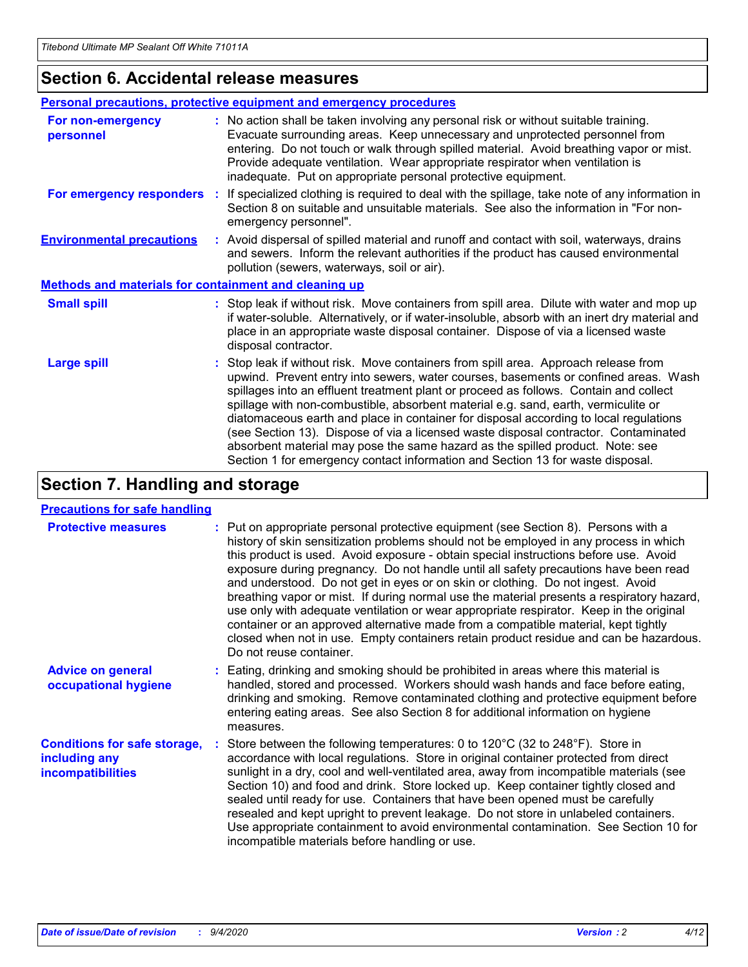### **Section 6. Accidental release measures**

|                                                              | Personal precautions, protective equipment and emergency procedures                                                                                                                                                                                                                                                                                                                                                                                                                                                                                                                                                                                                                                          |
|--------------------------------------------------------------|--------------------------------------------------------------------------------------------------------------------------------------------------------------------------------------------------------------------------------------------------------------------------------------------------------------------------------------------------------------------------------------------------------------------------------------------------------------------------------------------------------------------------------------------------------------------------------------------------------------------------------------------------------------------------------------------------------------|
| For non-emergency<br>personnel                               | : No action shall be taken involving any personal risk or without suitable training.<br>Evacuate surrounding areas. Keep unnecessary and unprotected personnel from<br>entering. Do not touch or walk through spilled material. Avoid breathing vapor or mist.<br>Provide adequate ventilation. Wear appropriate respirator when ventilation is<br>inadequate. Put on appropriate personal protective equipment.                                                                                                                                                                                                                                                                                             |
| For emergency responders                                     | : If specialized clothing is required to deal with the spillage, take note of any information in<br>Section 8 on suitable and unsuitable materials. See also the information in "For non-<br>emergency personnel".                                                                                                                                                                                                                                                                                                                                                                                                                                                                                           |
| <b>Environmental precautions</b>                             | : Avoid dispersal of spilled material and runoff and contact with soil, waterways, drains<br>and sewers. Inform the relevant authorities if the product has caused environmental<br>pollution (sewers, waterways, soil or air).                                                                                                                                                                                                                                                                                                                                                                                                                                                                              |
| <b>Methods and materials for containment and cleaning up</b> |                                                                                                                                                                                                                                                                                                                                                                                                                                                                                                                                                                                                                                                                                                              |
| <b>Small spill</b>                                           | : Stop leak if without risk. Move containers from spill area. Dilute with water and mop up<br>if water-soluble. Alternatively, or if water-insoluble, absorb with an inert dry material and<br>place in an appropriate waste disposal container. Dispose of via a licensed waste<br>disposal contractor.                                                                                                                                                                                                                                                                                                                                                                                                     |
| <b>Large spill</b>                                           | : Stop leak if without risk. Move containers from spill area. Approach release from<br>upwind. Prevent entry into sewers, water courses, basements or confined areas. Wash<br>spillages into an effluent treatment plant or proceed as follows. Contain and collect<br>spillage with non-combustible, absorbent material e.g. sand, earth, vermiculite or<br>diatomaceous earth and place in container for disposal according to local regulations<br>(see Section 13). Dispose of via a licensed waste disposal contractor. Contaminated<br>absorbent material may pose the same hazard as the spilled product. Note: see<br>Section 1 for emergency contact information and Section 13 for waste disposal. |

## **Section 7. Handling and storage**

### **Precautions for safe handling**

| <b>Protective measures</b>                                                       | : Put on appropriate personal protective equipment (see Section 8). Persons with a<br>history of skin sensitization problems should not be employed in any process in which<br>this product is used. Avoid exposure - obtain special instructions before use. Avoid<br>exposure during pregnancy. Do not handle until all safety precautions have been read<br>and understood. Do not get in eyes or on skin or clothing. Do not ingest. Avoid<br>breathing vapor or mist. If during normal use the material presents a respiratory hazard,<br>use only with adequate ventilation or wear appropriate respirator. Keep in the original<br>container or an approved alternative made from a compatible material, kept tightly<br>closed when not in use. Empty containers retain product residue and can be hazardous.<br>Do not reuse container. |
|----------------------------------------------------------------------------------|--------------------------------------------------------------------------------------------------------------------------------------------------------------------------------------------------------------------------------------------------------------------------------------------------------------------------------------------------------------------------------------------------------------------------------------------------------------------------------------------------------------------------------------------------------------------------------------------------------------------------------------------------------------------------------------------------------------------------------------------------------------------------------------------------------------------------------------------------|
| <b>Advice on general</b><br>occupational hygiene                                 | : Eating, drinking and smoking should be prohibited in areas where this material is<br>handled, stored and processed. Workers should wash hands and face before eating,<br>drinking and smoking. Remove contaminated clothing and protective equipment before<br>entering eating areas. See also Section 8 for additional information on hygiene<br>measures.                                                                                                                                                                                                                                                                                                                                                                                                                                                                                    |
| <b>Conditions for safe storage,</b><br>including any<br><i>incompatibilities</i> | Store between the following temperatures: 0 to 120°C (32 to 248°F). Store in<br>accordance with local regulations. Store in original container protected from direct<br>sunlight in a dry, cool and well-ventilated area, away from incompatible materials (see<br>Section 10) and food and drink. Store locked up. Keep container tightly closed and<br>sealed until ready for use. Containers that have been opened must be carefully<br>resealed and kept upright to prevent leakage. Do not store in unlabeled containers.<br>Use appropriate containment to avoid environmental contamination. See Section 10 for<br>incompatible materials before handling or use.                                                                                                                                                                         |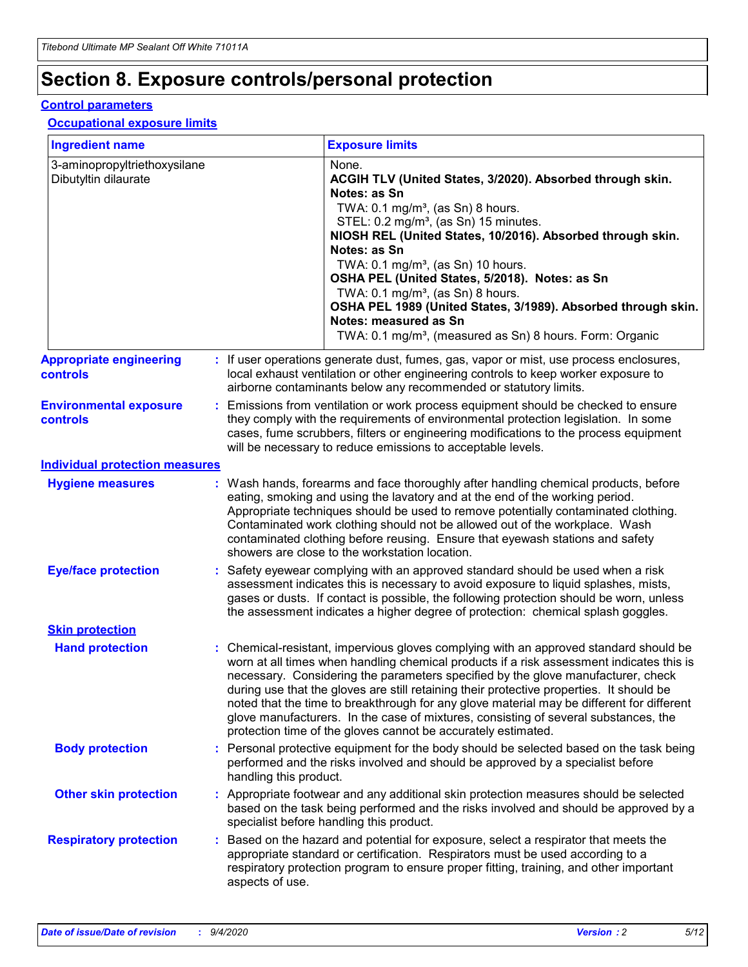# **Section 8. Exposure controls/personal protection**

### **Control parameters**

### **Occupational exposure limits**

| <b>Ingredient name</b>                               |    |                        | <b>Exposure limits</b>                                                                                                                                                                                                                                                                                                                                                                                                                                                                                                                                                                                                 |
|------------------------------------------------------|----|------------------------|------------------------------------------------------------------------------------------------------------------------------------------------------------------------------------------------------------------------------------------------------------------------------------------------------------------------------------------------------------------------------------------------------------------------------------------------------------------------------------------------------------------------------------------------------------------------------------------------------------------------|
| 3-aminopropyltriethoxysilane<br>Dibutyltin dilaurate |    |                        | None.<br>ACGIH TLV (United States, 3/2020). Absorbed through skin.<br>Notes: as Sn<br>TWA: $0.1 \text{ mg/m}^3$ , (as Sn) 8 hours.<br>STEL: 0.2 mg/m <sup>3</sup> , (as Sn) 15 minutes.<br>NIOSH REL (United States, 10/2016). Absorbed through skin.<br>Notes: as Sn<br>TWA: 0.1 mg/m <sup>3</sup> , (as Sn) 10 hours.<br>OSHA PEL (United States, 5/2018). Notes: as Sn<br>TWA: 0.1 mg/m <sup>3</sup> , (as Sn) 8 hours.<br>OSHA PEL 1989 (United States, 3/1989). Absorbed through skin.<br>Notes: measured as Sn<br>TWA: 0.1 mg/m <sup>3</sup> , (measured as Sn) 8 hours. Form: Organic                           |
| <b>Appropriate engineering</b><br>controls           |    |                        | : If user operations generate dust, fumes, gas, vapor or mist, use process enclosures,<br>local exhaust ventilation or other engineering controls to keep worker exposure to<br>airborne contaminants below any recommended or statutory limits.                                                                                                                                                                                                                                                                                                                                                                       |
| <b>Environmental exposure</b><br>controls            |    |                        | Emissions from ventilation or work process equipment should be checked to ensure<br>they comply with the requirements of environmental protection legislation. In some<br>cases, fume scrubbers, filters or engineering modifications to the process equipment<br>will be necessary to reduce emissions to acceptable levels.                                                                                                                                                                                                                                                                                          |
| <b>Individual protection measures</b>                |    |                        |                                                                                                                                                                                                                                                                                                                                                                                                                                                                                                                                                                                                                        |
| <b>Hygiene measures</b>                              |    |                        | : Wash hands, forearms and face thoroughly after handling chemical products, before<br>eating, smoking and using the lavatory and at the end of the working period.<br>Appropriate techniques should be used to remove potentially contaminated clothing.<br>Contaminated work clothing should not be allowed out of the workplace. Wash<br>contaminated clothing before reusing. Ensure that eyewash stations and safety<br>showers are close to the workstation location.                                                                                                                                            |
| <b>Eye/face protection</b>                           |    |                        | Safety eyewear complying with an approved standard should be used when a risk<br>assessment indicates this is necessary to avoid exposure to liquid splashes, mists,<br>gases or dusts. If contact is possible, the following protection should be worn, unless<br>the assessment indicates a higher degree of protection: chemical splash goggles.                                                                                                                                                                                                                                                                    |
| <b>Skin protection</b>                               |    |                        |                                                                                                                                                                                                                                                                                                                                                                                                                                                                                                                                                                                                                        |
| <b>Hand protection</b>                               |    |                        | : Chemical-resistant, impervious gloves complying with an approved standard should be<br>worn at all times when handling chemical products if a risk assessment indicates this is<br>necessary. Considering the parameters specified by the glove manufacturer, check<br>during use that the gloves are still retaining their protective properties. It should be<br>noted that the time to breakthrough for any glove material may be different for different<br>glove manufacturers. In the case of mixtures, consisting of several substances, the<br>protection time of the gloves cannot be accurately estimated. |
| <b>Body protection</b>                               |    | handling this product. | Personal protective equipment for the body should be selected based on the task being<br>performed and the risks involved and should be approved by a specialist before                                                                                                                                                                                                                                                                                                                                                                                                                                                |
| <b>Other skin protection</b>                         |    |                        | : Appropriate footwear and any additional skin protection measures should be selected<br>based on the task being performed and the risks involved and should be approved by a<br>specialist before handling this product.                                                                                                                                                                                                                                                                                                                                                                                              |
| <b>Respiratory protection</b>                        | ÷. | aspects of use.        | Based on the hazard and potential for exposure, select a respirator that meets the<br>appropriate standard or certification. Respirators must be used according to a<br>respiratory protection program to ensure proper fitting, training, and other important                                                                                                                                                                                                                                                                                                                                                         |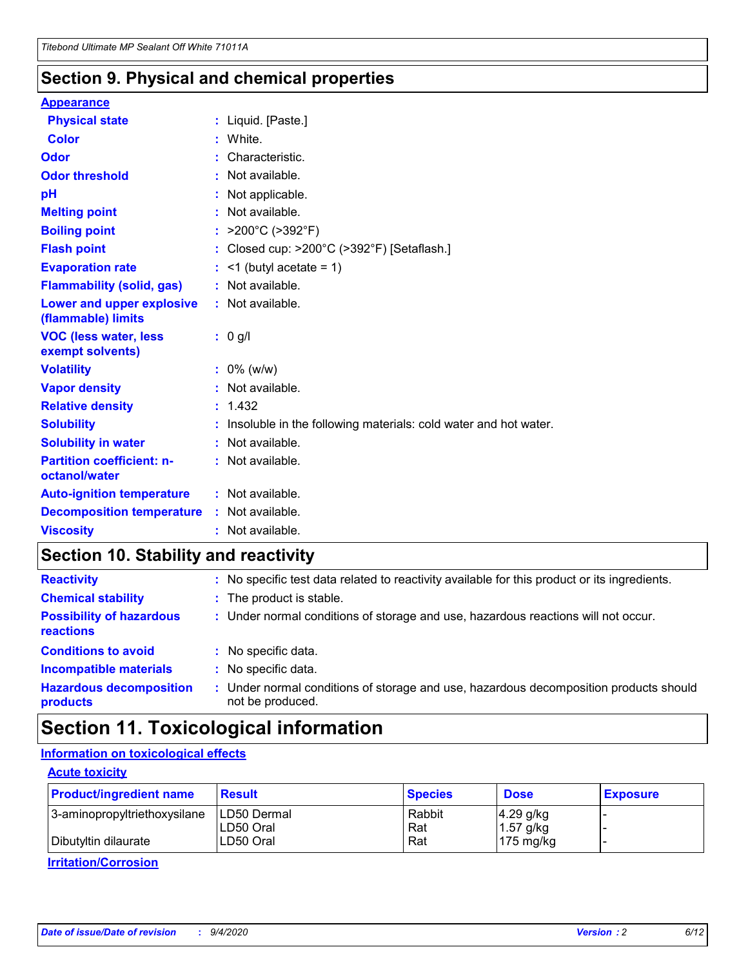### **Section 9. Physical and chemical properties**

### **Appearance**

| <b>Physical state</b>                             | : Liquid. [Paste.]                                              |
|---------------------------------------------------|-----------------------------------------------------------------|
| Color                                             | White.                                                          |
| Odor                                              | : Characteristic.                                               |
| <b>Odor threshold</b>                             | $:$ Not available.                                              |
| рH                                                | : Not applicable.                                               |
| <b>Melting point</b>                              | : Not available.                                                |
| <b>Boiling point</b>                              | : $>200^{\circ}$ C ( $>392^{\circ}$ F)                          |
| <b>Flash point</b>                                | : Closed cup: >200°C (>392°F) [Setaflash.]                      |
| <b>Evaporation rate</b>                           | $:$ <1 (butyl acetate = 1)                                      |
| <b>Flammability (solid, gas)</b>                  | : Not available.                                                |
| Lower and upper explosive<br>(flammable) limits   | : Not available.                                                |
| <b>VOC (less water, less</b><br>exempt solvents)  | $: 0$ g/l                                                       |
| <b>Volatility</b>                                 | $: 0\%$ (w/w)                                                   |
|                                                   |                                                                 |
| <b>Vapor density</b>                              | : Not available.                                                |
| <b>Relative density</b>                           | : 1.432                                                         |
| <b>Solubility</b>                                 | Insoluble in the following materials: cold water and hot water. |
| <b>Solubility in water</b>                        | : Not available.                                                |
| <b>Partition coefficient: n-</b><br>octanol/water | $:$ Not available.                                              |
| <b>Auto-ignition temperature</b>                  | : Not available.                                                |
| <b>Decomposition temperature</b>                  | : Not available.                                                |

## **Section 10. Stability and reactivity**

| <b>Reactivity</b>                            |    | : No specific test data related to reactivity available for this product or its ingredients.            |
|----------------------------------------------|----|---------------------------------------------------------------------------------------------------------|
| <b>Chemical stability</b>                    |    | : The product is stable.                                                                                |
| <b>Possibility of hazardous</b><br>reactions |    | : Under normal conditions of storage and use, hazardous reactions will not occur.                       |
| <b>Conditions to avoid</b>                   |    | : No specific data.                                                                                     |
| <b>Incompatible materials</b>                |    | : No specific data.                                                                                     |
| <b>Hazardous decomposition</b><br>products   | ÷. | Under normal conditions of storage and use, hazardous decomposition products should<br>not be produced. |

## **Section 11. Toxicological information**

### **Information on toxicological effects**

### **Acute toxicity**

| <b>Product/ingredient name</b> | <b>Result</b>           | <b>Species</b> | <b>Dose</b>                | <b>Exposure</b> |
|--------------------------------|-------------------------|----------------|----------------------------|-----------------|
| 3-aminopropyltriethoxysilane   | <b>ILD50 Dermal</b>     | Rabbit         | 4.29 g/kg                  |                 |
| Dibutyltin dilaurate           | ILD50 Oral<br>LD50 Oral | Rat<br>Rat     | $1.57$ g/kg<br>175 $mg/kg$ |                 |
|                                |                         |                |                            |                 |

**Irritation/Corrosion**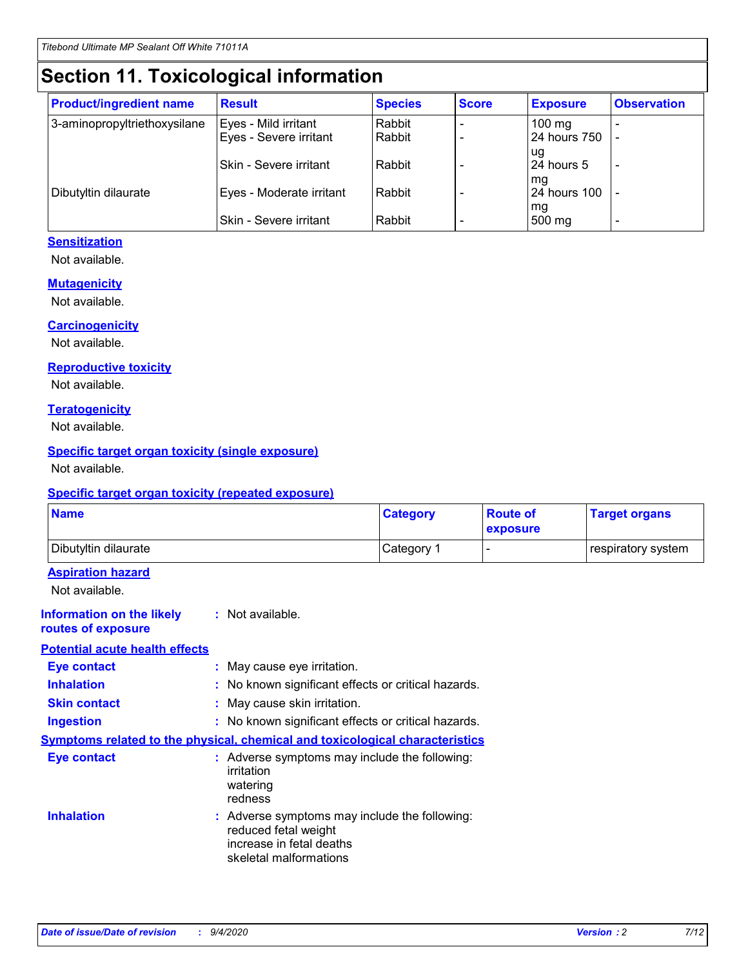# **Section 11. Toxicological information**

| <b>Product/ingredient name</b> | <b>Result</b>            | <b>Species</b> | <b>Score</b> | <b>Exposure</b>           | <b>Observation</b> |
|--------------------------------|--------------------------|----------------|--------------|---------------------------|--------------------|
| 3-aminopropyltriethoxysilane   | Eyes - Mild irritant     | Rabbit         |              | $100$ mg                  |                    |
|                                | Eyes - Severe irritant   | Rabbit         |              | 24 hours 750              |                    |
|                                |                          |                |              | ug                        |                    |
|                                | Skin - Severe irritant   | Rabbit         |              | 24 hours 5                | -                  |
| Dibutyltin dilaurate           | Eyes - Moderate irritant | Rabbit         |              | mq<br><b>24 hours 100</b> |                    |
|                                |                          |                |              | mg                        |                    |
|                                | Skin - Severe irritant   | Rabbit         |              | 500 mg                    |                    |

### **Sensitization**

Not available.

### **Mutagenicity**

Not available.

### **Carcinogenicity**

Not available.

#### **Reproductive toxicity**

Not available.

### **Teratogenicity**

Not available.

### **Specific target organ toxicity (single exposure)**

Not available.

### **Specific target organ toxicity (repeated exposure)**

| <b>Name</b>                                                                         |                                                                            | <b>Category</b>                                     | <b>Route of</b><br>exposure | <b>Target organs</b> |  |  |
|-------------------------------------------------------------------------------------|----------------------------------------------------------------------------|-----------------------------------------------------|-----------------------------|----------------------|--|--|
| Dibutyltin dilaurate                                                                |                                                                            | Category 1                                          |                             | respiratory system   |  |  |
| <b>Aspiration hazard</b><br>Not available.                                          |                                                                            |                                                     |                             |                      |  |  |
| <b>Information on the likely</b><br>routes of exposure                              | : Not available.                                                           |                                                     |                             |                      |  |  |
| <b>Potential acute health effects</b>                                               |                                                                            |                                                     |                             |                      |  |  |
| <b>Eye contact</b>                                                                  | : May cause eye irritation.                                                |                                                     |                             |                      |  |  |
| <b>Inhalation</b>                                                                   |                                                                            | : No known significant effects or critical hazards. |                             |                      |  |  |
| <b>Skin contact</b>                                                                 |                                                                            | : May cause skin irritation.                        |                             |                      |  |  |
| <b>Ingestion</b>                                                                    |                                                                            | : No known significant effects or critical hazards. |                             |                      |  |  |
| <b>Symptoms related to the physical, chemical and toxicological characteristics</b> |                                                                            |                                                     |                             |                      |  |  |
| <b>Eye contact</b>                                                                  | irritation<br>watering<br>redness                                          | : Adverse symptoms may include the following:       |                             |                      |  |  |
| <b>Inhalation</b>                                                                   | reduced fetal weight<br>increase in fetal deaths<br>skeletal malformations | : Adverse symptoms may include the following:       |                             |                      |  |  |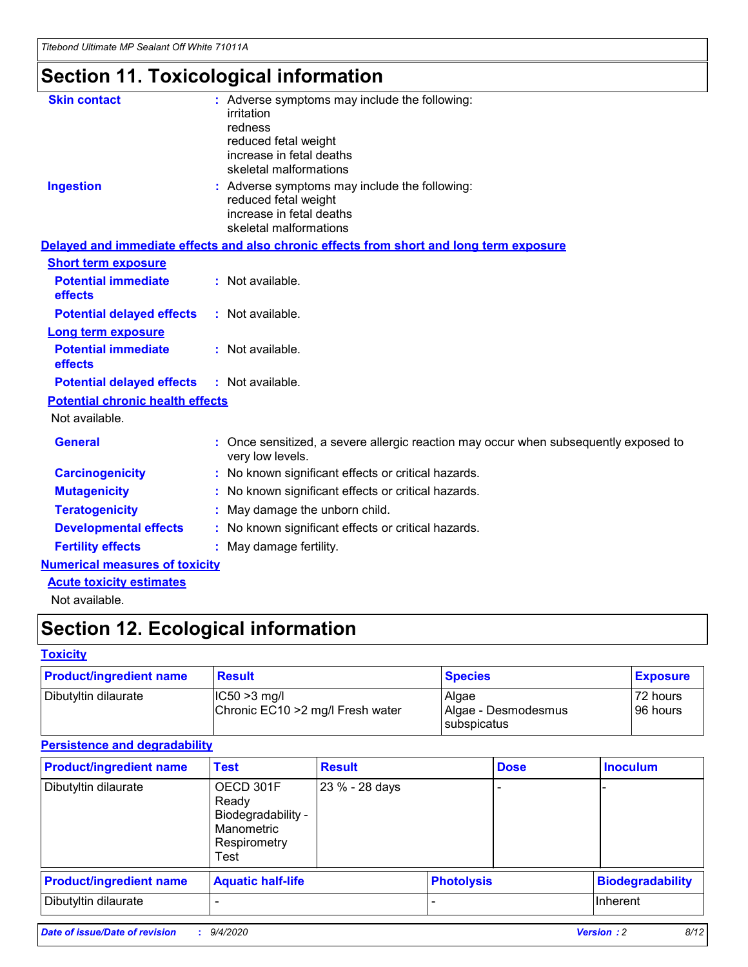# **Section 11. Toxicological information**

| <b>Skin contact</b>                     | : Adverse symptoms may include the following:<br>irritation<br>redness<br>reduced fetal weight<br>increase in fetal deaths<br>skeletal malformations |
|-----------------------------------------|------------------------------------------------------------------------------------------------------------------------------------------------------|
| <b>Ingestion</b>                        | : Adverse symptoms may include the following:<br>reduced fetal weight<br>increase in fetal deaths<br>skeletal malformations                          |
|                                         | Delayed and immediate effects and also chronic effects from short and long term exposure                                                             |
| <b>Short term exposure</b>              |                                                                                                                                                      |
| <b>Potential immediate</b><br>effects   | : Not available.                                                                                                                                     |
| <b>Potential delayed effects</b>        | : Not available.                                                                                                                                     |
| <b>Long term exposure</b>               |                                                                                                                                                      |
| <b>Potential immediate</b><br>effects   | : Not available.                                                                                                                                     |
| <b>Potential delayed effects</b>        | : Not available.                                                                                                                                     |
| <b>Potential chronic health effects</b> |                                                                                                                                                      |
| Not available.                          |                                                                                                                                                      |
| <b>General</b>                          | : Once sensitized, a severe allergic reaction may occur when subsequently exposed to<br>very low levels.                                             |
| <b>Carcinogenicity</b>                  | : No known significant effects or critical hazards.                                                                                                  |
| <b>Mutagenicity</b>                     | No known significant effects or critical hazards.                                                                                                    |
| <b>Teratogenicity</b>                   | May damage the unborn child.                                                                                                                         |
| <b>Developmental effects</b>            | : No known significant effects or critical hazards.                                                                                                  |
| <b>Fertility effects</b>                | : May damage fertility.                                                                                                                              |
| <b>Numerical measures of toxicity</b>   |                                                                                                                                                      |
| <b>Acute toxicity estimates</b>         |                                                                                                                                                      |
| .                                       |                                                                                                                                                      |

Not available.

# **Section 12. Ecological information**

### **Toxicity**

| <b>Product/ingredient name</b> | <b>Result</b>                                       | <b>Species</b>               | <b>Exposure</b>       |
|--------------------------------|-----------------------------------------------------|------------------------------|-----------------------|
| Dibutyltin dilaurate           | $ CC50>3$ mg/l<br>Chronic EC10 > 2 mg/l Fresh water | Algae<br>Algae - Desmodesmus | 72 hours<br>196 hours |
|                                |                                                     | <b>I</b> subspicatus         |                       |

### **Persistence and degradability**

| <b>Product/ingredient name</b> | <b>Test</b>                                                                    | <b>Result</b>  |                   | <b>Dose</b> | <b>Inoculum</b>         |
|--------------------------------|--------------------------------------------------------------------------------|----------------|-------------------|-------------|-------------------------|
| Dibutyltin dilaurate           | OECD 301F<br>Ready<br>Biodegradability -<br>Manometric<br>Respirometry<br>Test | 23 % - 28 days |                   |             |                         |
| <b>Product/ingredient name</b> | <b>Aquatic half-life</b>                                                       |                | <b>Photolysis</b> |             | <b>Biodegradability</b> |
| Dibutyltin dilaurate           |                                                                                |                |                   |             | <b>Inherent</b>         |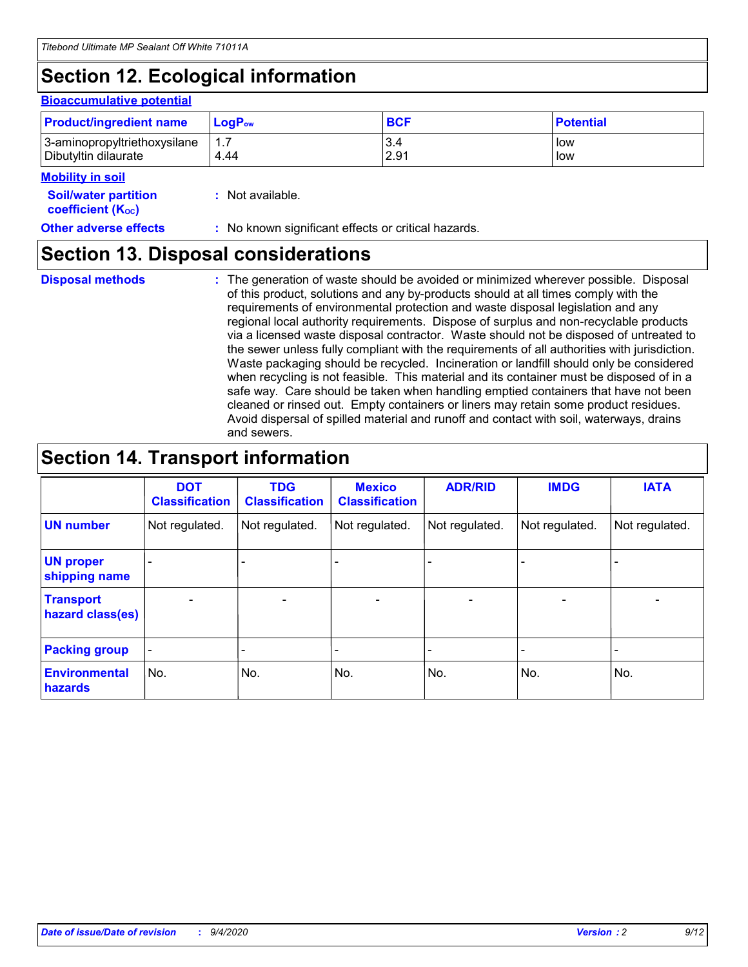# **Section 12. Ecological information**

### **Bioaccumulative potential**

| <b>Product/ingredient name</b> | <b>LogP</b> <sub>ow</sub> | <b>BCF</b> | <b>Potential</b> |
|--------------------------------|---------------------------|------------|------------------|
| 3-aminopropyltriethoxysilane   | 4.44                      | 3.4        | low              |
| Dibutyltin dilaurate           |                           | 2.91       | low              |

#### **Mobility in soil**

| <b>Soil/water partition</b> | : Not available. |
|-----------------------------|------------------|
| <b>coefficient (Koc)</b>    |                  |

**Other adverse effects** : No known significant effects or critical hazards.

### **Section 13. Disposal considerations**

**Disposal methods :**

The generation of waste should be avoided or minimized wherever possible. Disposal of this product, solutions and any by-products should at all times comply with the requirements of environmental protection and waste disposal legislation and any regional local authority requirements. Dispose of surplus and non-recyclable products via a licensed waste disposal contractor. Waste should not be disposed of untreated to the sewer unless fully compliant with the requirements of all authorities with jurisdiction. Waste packaging should be recycled. Incineration or landfill should only be considered when recycling is not feasible. This material and its container must be disposed of in a safe way. Care should be taken when handling emptied containers that have not been cleaned or rinsed out. Empty containers or liners may retain some product residues. Avoid dispersal of spilled material and runoff and contact with soil, waterways, drains and sewers.

## **Section 14. Transport information**

|                                      | <b>DOT</b><br><b>Classification</b> | <b>TDG</b><br><b>Classification</b> | <b>Mexico</b><br><b>Classification</b> | <b>ADR/RID</b>           | <b>IMDG</b>              | <b>IATA</b>    |
|--------------------------------------|-------------------------------------|-------------------------------------|----------------------------------------|--------------------------|--------------------------|----------------|
| <b>UN number</b>                     | Not regulated.                      | Not regulated.                      | Not regulated.                         | Not regulated.           | Not regulated.           | Not regulated. |
| <b>UN proper</b><br>shipping name    |                                     |                                     |                                        |                          |                          |                |
| <b>Transport</b><br>hazard class(es) |                                     | $\overline{\phantom{0}}$            | $\qquad \qquad \blacksquare$           | $\overline{\phantom{0}}$ | $\overline{\phantom{0}}$ |                |
| <b>Packing group</b>                 |                                     |                                     |                                        |                          |                          |                |
| <b>Environmental</b><br>hazards      | No.                                 | No.                                 | No.                                    | No.                      | No.                      | No.            |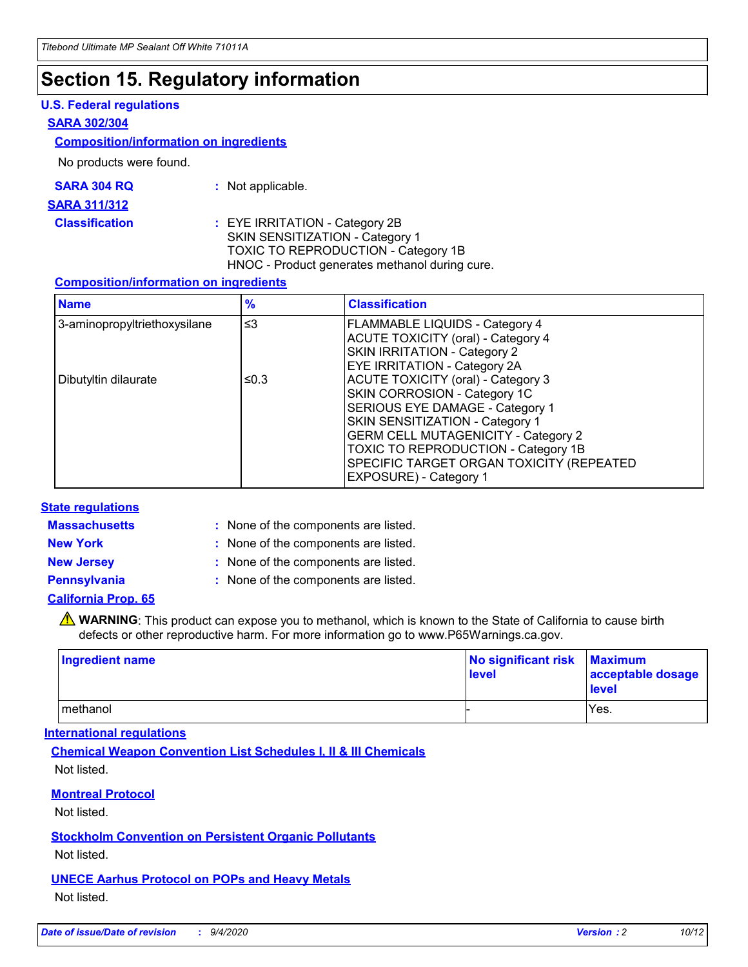## **Section 15. Regulatory information**

### **U.S. Federal regulations**

#### **SARA 302/304**

### **Composition/information on ingredients**

No products were found.

| SARA 304 RQ | Not applicable. |
|-------------|-----------------|
|-------------|-----------------|

#### **SARA 311/312**

**Classification :** EYE IRRITATION - Category 2B SKIN SENSITIZATION - Category 1 TOXIC TO REPRODUCTION - Category 1B HNOC - Product generates methanol during cure.

### **Composition/information on ingredients**

| <b>Name</b>                  | $\frac{9}{6}$ | <b>Classification</b>                                                                                                                                                                                                                                                                                      |
|------------------------------|---------------|------------------------------------------------------------------------------------------------------------------------------------------------------------------------------------------------------------------------------------------------------------------------------------------------------------|
| 3-aminopropyltriethoxysilane | $\leq$ 3      | <b>FLAMMABLE LIQUIDS - Category 4</b><br><b>ACUTE TOXICITY (oral) - Category 4</b><br><b>SKIN IRRITATION - Category 2</b><br>EYE IRRITATION - Category 2A                                                                                                                                                  |
| Dibutyltin dilaurate         | ≤0.3          | <b>ACUTE TOXICITY (oral) - Category 3</b><br>SKIN CORROSION - Category 1C<br>SERIOUS EYE DAMAGE - Category 1<br>SKIN SENSITIZATION - Category 1<br><b>GERM CELL MUTAGENICITY - Category 2</b><br>TOXIC TO REPRODUCTION - Category 1B<br>SPECIFIC TARGET ORGAN TOXICITY (REPEATED<br>EXPOSURE) - Category 1 |

### **State regulations**

**Massachusetts :**

: None of the components are listed.

**New York :** None of the components are listed.

**New Jersey :** None of the components are listed.

**Pennsylvania :** None of the components are listed.

### **California Prop. 65**

WARNING: This product can expose you to methanol, which is known to the State of California to cause birth defects or other reproductive harm. For more information go to www.P65Warnings.ca.gov.

| Ingredient name | No significant risk<br>level | <b>Maximum</b><br>acceptable dosage<br>level |
|-----------------|------------------------------|----------------------------------------------|
| methanol        |                              | Yes.                                         |

### **International regulations**

**Chemical Weapon Convention List Schedules I, II & III Chemicals** Not listed.

### **Montreal Protocol**

Not listed.

**Stockholm Convention on Persistent Organic Pollutants**

Not listed.

### **UNECE Aarhus Protocol on POPs and Heavy Metals** Not listed.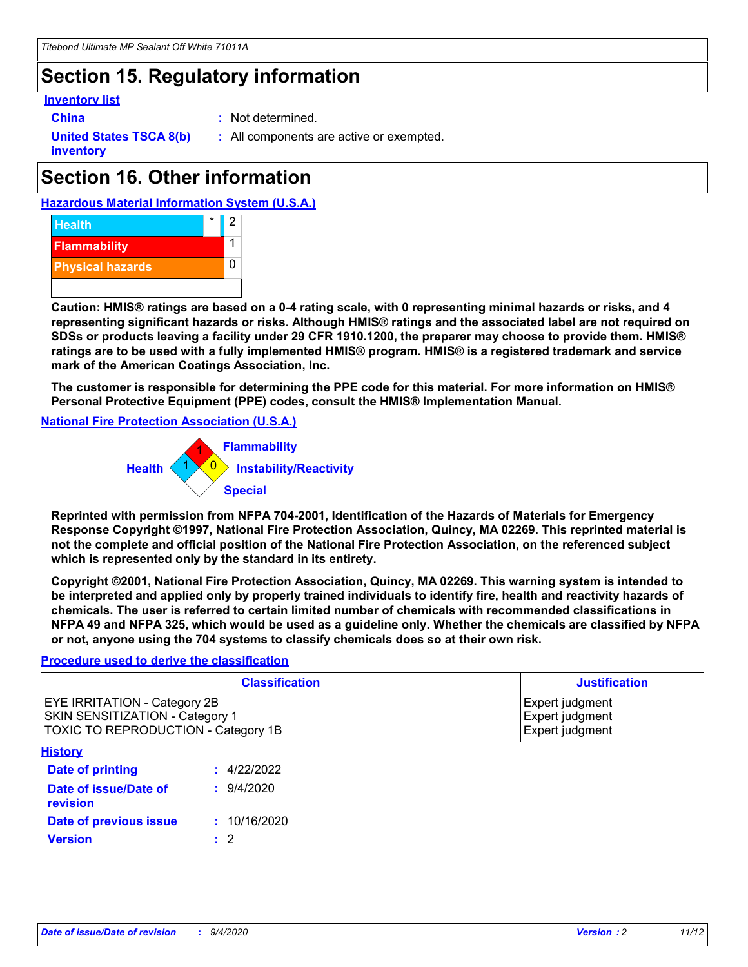# **Section 15. Regulatory information**

### **Inventory list**

- 
- **China :** Not determined.

**United States TSCA 8(b) inventory**

**:** All components are active or exempted.

# **Section 16. Other information**

**Hazardous Material Information System (U.S.A.)**



**Caution: HMIS® ratings are based on a 0-4 rating scale, with 0 representing minimal hazards or risks, and 4 representing significant hazards or risks. Although HMIS® ratings and the associated label are not required on SDSs or products leaving a facility under 29 CFR 1910.1200, the preparer may choose to provide them. HMIS® ratings are to be used with a fully implemented HMIS® program. HMIS® is a registered trademark and service mark of the American Coatings Association, Inc.**

**The customer is responsible for determining the PPE code for this material. For more information on HMIS® Personal Protective Equipment (PPE) codes, consult the HMIS® Implementation Manual.**

**National Fire Protection Association (U.S.A.)**



**Reprinted with permission from NFPA 704-2001, Identification of the Hazards of Materials for Emergency Response Copyright ©1997, National Fire Protection Association, Quincy, MA 02269. This reprinted material is not the complete and official position of the National Fire Protection Association, on the referenced subject which is represented only by the standard in its entirety.**

**Copyright ©2001, National Fire Protection Association, Quincy, MA 02269. This warning system is intended to be interpreted and applied only by properly trained individuals to identify fire, health and reactivity hazards of chemicals. The user is referred to certain limited number of chemicals with recommended classifications in NFPA 49 and NFPA 325, which would be used as a guideline only. Whether the chemicals are classified by NFPA or not, anyone using the 704 systems to classify chemicals does so at their own risk.**

### **Procedure used to derive the classification**

| <b>Classification</b>                                                                                         | <b>Justification</b>                                  |
|---------------------------------------------------------------------------------------------------------------|-------------------------------------------------------|
| <b>EYE IRRITATION - Category 2B</b><br>SKIN SENSITIZATION - Category 1<br>TOXIC TO REPRODUCTION - Category 1B | Expert judgment<br>Expert judgment<br>Expert judgment |
| <b>History</b>                                                                                                |                                                       |

| <u>.</u>                          |              |
|-----------------------------------|--------------|
| <b>Date of printing</b>           | : 4/22/2022  |
| Date of issue/Date of<br>revision | 9/4/2020     |
| Date of previous issue            | : 10/16/2020 |
| <b>Version</b>                    | $\cdot$ 2    |
|                                   |              |